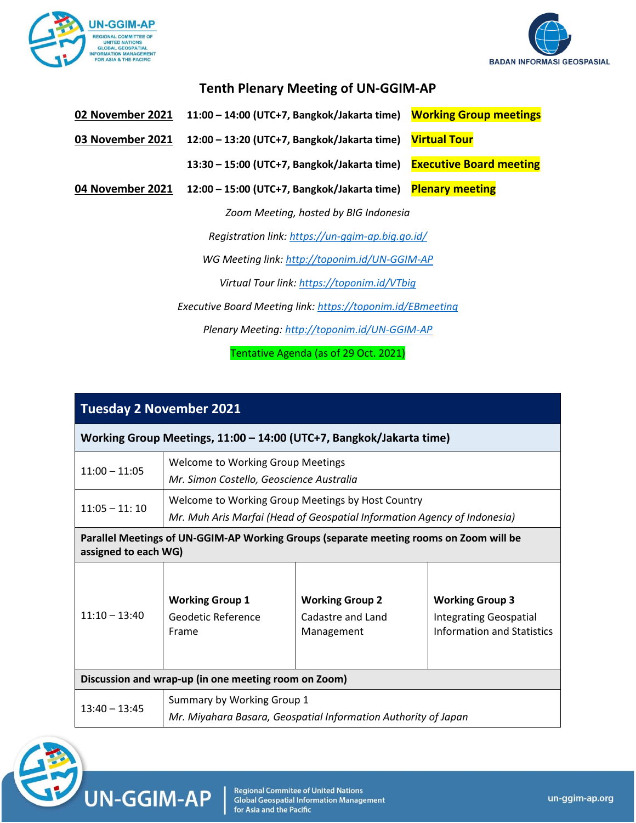



## **Tenth Plenary Meeting of UN-GGIM-AP**

| 02 November 2021 11:00 - 14:00 (UTC+7, Bangkok/Jakarta time) Working Group meetings |  |
|-------------------------------------------------------------------------------------|--|
|                                                                                     |  |

**03 November 2021 12:00 – 13:20 (UTC+7, Bangkok/Jakarta time) Virtual Tour**

**13:30 – 15:00 (UTC+7, Bangkok/Jakarta time) Executive Board meeting**

**04 November 2021 12:00 – 15:00 (UTC+7, Bangkok/Jakarta time) Plenary meeting**

*Zoom Meeting, hosted by BIG Indonesia*

*Registration link:<https://un-ggim-ap.big.go.id/>*

*WG Meeting link:<http://toponim.id/UN-GGIM-AP>*

*Virtual Tour link:<https://toponim.id/VTbig>*

*Executive Board Meeting link[: https://toponim.id/EBmeeting](https://toponim.id/EBmeeting)*

*Plenary Meeting[: http://toponim.id/UN-GGIM-AP](http://toponim.id/UN-GGIM-AP)*

Tentative Agenda (as of 29 Oct. 2021)

| <b>Tuesday 2 November 2021</b>                                                                                 |                                                                                                                               |                                                           |                                                                                       |
|----------------------------------------------------------------------------------------------------------------|-------------------------------------------------------------------------------------------------------------------------------|-----------------------------------------------------------|---------------------------------------------------------------------------------------|
| Working Group Meetings, 11:00 - 14:00 (UTC+7, Bangkok/Jakarta time)                                            |                                                                                                                               |                                                           |                                                                                       |
| $11:00 - 11:05$                                                                                                | <b>Welcome to Working Group Meetings</b><br>Mr. Simon Costello, Geoscience Australia                                          |                                                           |                                                                                       |
| $11:05 - 11:10$                                                                                                | Welcome to Working Group Meetings by Host Country<br>Mr. Muh Aris Marfai (Head of Geospatial Information Agency of Indonesia) |                                                           |                                                                                       |
| Parallel Meetings of UN-GGIM-AP Working Groups (separate meeting rooms on Zoom will be<br>assigned to each WG) |                                                                                                                               |                                                           |                                                                                       |
| $11:10 - 13:40$                                                                                                | <b>Working Group 1</b><br>Geodetic Reference<br>Frame                                                                         | <b>Working Group 2</b><br>Cadastre and Land<br>Management | <b>Working Group 3</b><br><b>Integrating Geospatial</b><br>Information and Statistics |
| Discussion and wrap-up (in one meeting room on Zoom)                                                           |                                                                                                                               |                                                           |                                                                                       |
| $13:40 - 13:45$                                                                                                | Summary by Working Group 1<br>Mr. Miyahara Basara, Geospatial Information Authority of Japan                                  |                                                           |                                                                                       |



**Regional Commitee of United Nations Global Geospatial Information Management** for Asia and the Pacific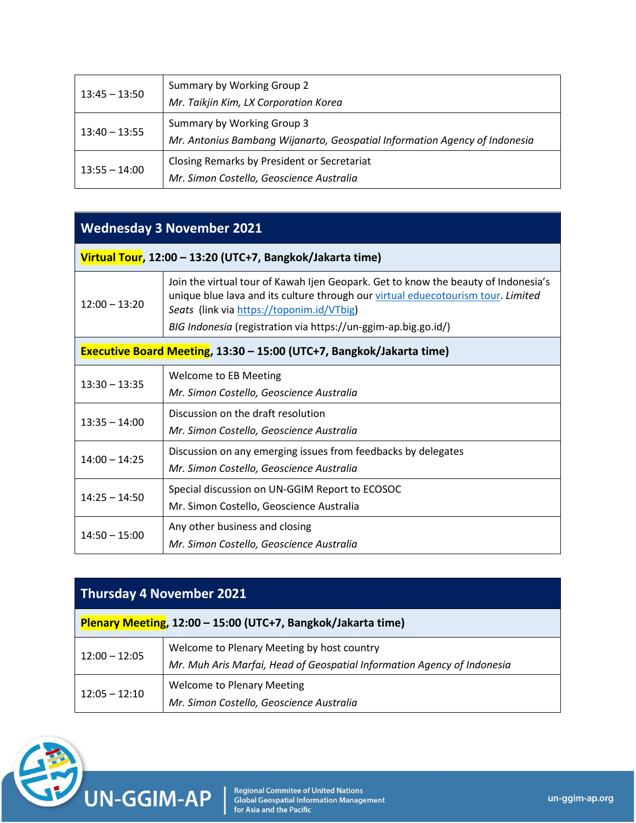| $13:45 - 13:50$ | Summary by Working Group 2<br>Mr. Taikjin Kim, LX Corporation Korea                                      |
|-----------------|----------------------------------------------------------------------------------------------------------|
| $13:40 - 13:55$ | Summary by Working Group 3<br>Mr. Antonius Bambang Wijanarto, Geospatial Information Agency of Indonesia |
| $13:55 - 14:00$ | Closing Remarks by President or Secretariat<br>Mr. Simon Costello, Geoscience Australia                  |

## **Wednesday 3 November 2021**

| $12:00 - 13:20$ | Join the virtual tour of Kawah Ijen Geopark. Get to know the beauty of Indonesia's<br>unique blue lava and its culture through our virtual eduecotourism tour. Limited<br>Seats (link via https://toponim.id/VTbig) |
|-----------------|---------------------------------------------------------------------------------------------------------------------------------------------------------------------------------------------------------------------|
|                 | BIG Indonesia (registration via https://un-ggim-ap.big.go.id/)                                                                                                                                                      |

|  | <b>Executive Board Meeting, 13:30 - 15:00 (UTC+7, Bangkok/Jakarta time)</b> |  |
|--|-----------------------------------------------------------------------------|--|
|  |                                                                             |  |

| $13:30 - 13:35$ | Welcome to EB Meeting<br>Mr. Simon Costello, Geoscience Australia                                         |
|-----------------|-----------------------------------------------------------------------------------------------------------|
| $13:35 - 14:00$ | Discussion on the draft resolution<br>Mr. Simon Costello, Geoscience Australia                            |
| $14:00 - 14:25$ | Discussion on any emerging issues from feedbacks by delegates<br>Mr. Simon Costello, Geoscience Australia |
| $14:25 - 14:50$ | Special discussion on UN-GGIM Report to ECOSOC<br>Mr. Simon Costello, Geoscience Australia                |
| $14:50 - 15:00$ | Any other business and closing<br>Mr. Simon Costello, Geoscience Australia                                |

## **Thursday 4 November 2021**

| Plenary Meeting, 12:00 - 15:00 (UTC+7, Bangkok/Jakarta time) |                                                                                                                       |  |
|--------------------------------------------------------------|-----------------------------------------------------------------------------------------------------------------------|--|
| $12:00 - 12:05$                                              | Welcome to Plenary Meeting by host country<br>Mr. Muh Aris Marfai, Head of Geospatial Information Agency of Indonesia |  |
| $12:05 - 12:10$                                              | <b>Welcome to Plenary Meeting</b><br>Mr. Simon Costello, Geoscience Australia                                         |  |



Regional Commitee of United Nations<br>Global Geospatial Information Management<br>for Asia and the Pacific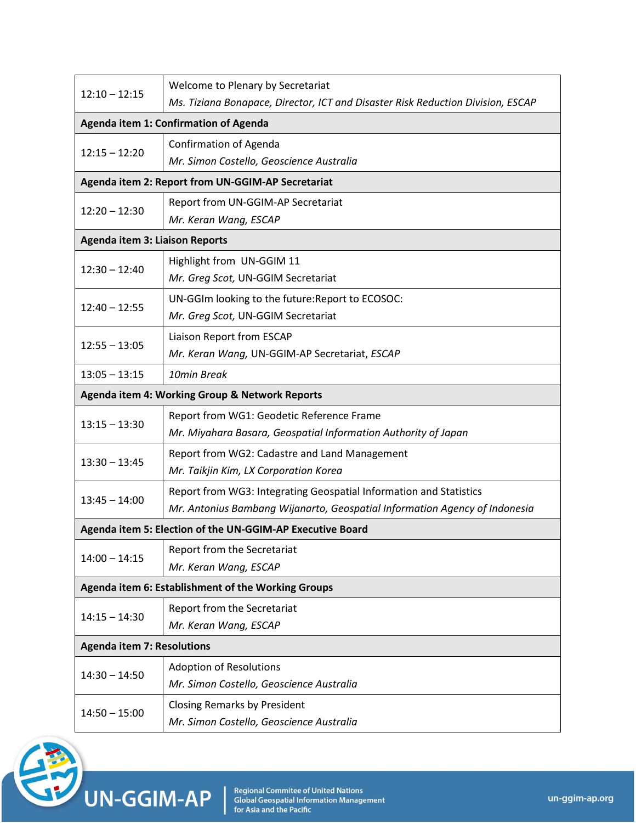| $12:10 - 12:15$                                           | Welcome to Plenary by Secretariat                                               |  |
|-----------------------------------------------------------|---------------------------------------------------------------------------------|--|
|                                                           | Ms. Tiziana Bonapace, Director, ICT and Disaster Risk Reduction Division, ESCAP |  |
|                                                           | Agenda item 1: Confirmation of Agenda                                           |  |
| $12:15 - 12:20$                                           | <b>Confirmation of Agenda</b>                                                   |  |
|                                                           | Mr. Simon Costello, Geoscience Australia                                        |  |
|                                                           | Agenda item 2: Report from UN-GGIM-AP Secretariat                               |  |
| $12:20 - 12:30$                                           | Report from UN-GGIM-AP Secretariat                                              |  |
|                                                           | Mr. Keran Wang, ESCAP                                                           |  |
| <b>Agenda item 3: Liaison Reports</b>                     |                                                                                 |  |
| $12:30 - 12:40$                                           | Highlight from UN-GGIM 11                                                       |  |
|                                                           | Mr. Greg Scot, UN-GGIM Secretariat                                              |  |
| $12:40 - 12:55$                                           | UN-GGIm looking to the future: Report to ECOSOC:                                |  |
|                                                           | Mr. Greg Scot, UN-GGIM Secretariat                                              |  |
| $12:55 - 13:05$                                           | Liaison Report from ESCAP                                                       |  |
|                                                           | Mr. Keran Wang, UN-GGIM-AP Secretariat, ESCAP                                   |  |
| $13:05 - 13:15$<br>10min Break                            |                                                                                 |  |
|                                                           | Agenda item 4: Working Group & Network Reports                                  |  |
|                                                           | Report from WG1: Geodetic Reference Frame                                       |  |
| $13:15 - 13:30$                                           | Mr. Miyahara Basara, Geospatial Information Authority of Japan                  |  |
| $13:30 - 13:45$                                           | Report from WG2: Cadastre and Land Management                                   |  |
|                                                           | Mr. Taikjin Kim, LX Corporation Korea                                           |  |
| $13:45 - 14:00$                                           | Report from WG3: Integrating Geospatial Information and Statistics              |  |
|                                                           | Mr. Antonius Bambang Wijanarto, Geospatial Information Agency of Indonesia      |  |
| Agenda item 5: Election of the UN-GGIM-AP Executive Board |                                                                                 |  |
| $14:00 - 14:15$                                           | Report from the Secretariat                                                     |  |
|                                                           | Mr. Keran Wang, ESCAP                                                           |  |
| Agenda item 6: Establishment of the Working Groups        |                                                                                 |  |
|                                                           | Report from the Secretariat                                                     |  |
| $14:15 - 14:30$                                           | Mr. Keran Wang, ESCAP                                                           |  |
| <b>Agenda item 7: Resolutions</b>                         |                                                                                 |  |
| $14:30 - 14:50$                                           | <b>Adoption of Resolutions</b>                                                  |  |
|                                                           | Mr. Simon Costello, Geoscience Australia                                        |  |
| $14:50 - 15:00$                                           | <b>Closing Remarks by President</b>                                             |  |
|                                                           | Mr. Simon Costello, Geoscience Australia                                        |  |



Regional Commitee of United Nations<br>Global Geospatial Information Management<br>for Asia and the Pacific